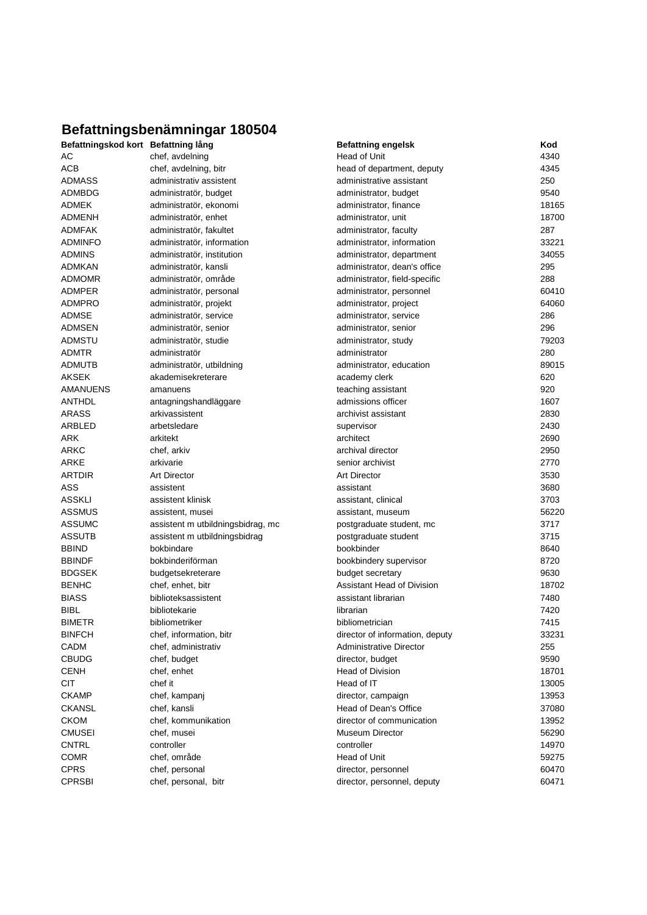## **Befattningsbenämningar 180504**

| Befattningskod kort Befattning lång |                                   | <b>Befattning engelsk</b>       | Kod   |
|-------------------------------------|-----------------------------------|---------------------------------|-------|
| АC                                  | chef, avdelning                   | Head of Unit                    | 4340  |
| <b>ACB</b>                          | chef, avdelning, bitr             | head of department, deputy      | 4345  |
| <b>ADMASS</b>                       | administrativ assistent           | administrative assistant        | 250   |
| <b>ADMBDG</b>                       | administratör, budget             | administrator, budget           | 9540  |
| <b>ADMEK</b>                        | administratör, ekonomi            | administrator, finance          | 18165 |
| <b>ADMENH</b>                       | administratör, enhet              | administrator, unit             | 18700 |
| <b>ADMFAK</b>                       | administratör, fakultet           | administrator, faculty          | 287   |
| <b>ADMINFO</b>                      | administratör, information        | administrator, information      | 33221 |
| <b>ADMINS</b>                       | administratör, institution        | administrator, department       | 34055 |
| <b>ADMKAN</b>                       | administratör, kansli             | administrator, dean's office    | 295   |
| <b>ADMOMR</b>                       | administratör, område             | administrator, field-specific   | 288   |
| <b>ADMPER</b>                       | administratör, personal           | administrator, personnel        | 60410 |
| <b>ADMPRO</b>                       | administratör, projekt            | administrator, project          | 64060 |
| <b>ADMSE</b>                        | administratör, service            | administrator, service          | 286   |
| <b>ADMSEN</b>                       | administratör, senior             | administrator, senior           | 296   |
| <b>ADMSTU</b>                       | administratör, studie             | administrator, study            | 79203 |
| <b>ADMTR</b>                        | administratör                     | administrator                   | 280   |
| <b>ADMUTB</b>                       | administratör, utbildning         | administrator, education        | 89015 |
| <b>AKSEK</b>                        | akademisekreterare                | academy clerk                   | 620   |
| AMANUENS                            | amanuens                          | teaching assistant              | 920   |
| <b>ANTHDL</b>                       | antagningshandläggare             | admissions officer              | 1607  |
| <b>ARASS</b>                        | arkivassistent                    | archivist assistant             | 2830  |
| ARBLED                              | arbetsledare                      | supervisor                      | 2430  |
| ARK                                 | arkitekt                          | architect                       | 2690  |
| ARKC                                | chef, arkiv                       | archival director               | 2950  |
| ARKE                                | arkivarie                         | senior archivist                | 2770  |
| <b>ARTDIR</b>                       | <b>Art Director</b>               | <b>Art Director</b>             | 3530  |
| ASS                                 | assistent                         | assistant                       | 3680  |
| <b>ASSKLI</b>                       | assistent klinisk                 | assistant, clinical             | 3703  |
| <b>ASSMUS</b>                       | assistent, musei                  | assistant, museum               | 56220 |
| <b>ASSUMC</b>                       | assistent m utbildningsbidrag, mc | postgraduate student, mc        | 3717  |
| <b>ASSUTB</b>                       |                                   |                                 |       |
|                                     | assistent m utbildningsbidrag     | postgraduate student            | 3715  |
| <b>BBIND</b>                        | bokbindare                        | bookbinder                      | 8640  |
| <b>BBINDF</b>                       | bokbinderiförman                  | bookbindery supervisor          | 8720  |
| <b>BDGSEK</b>                       | budgetsekreterare                 | budget secretary                | 9630  |
| <b>BENHC</b>                        | chef, enhet, bitr                 | Assistant Head of Division      | 18702 |
| <b>BIASS</b>                        | biblioteksassistent               | assistant librarian             | 7480  |
| <b>BIBL</b>                         | bibliotekarie                     | librarian                       | 7420  |
| <b>BIMETR</b>                       | bibliometriker                    | bibliometrician                 | 7415  |
| <b>BINFCH</b>                       | chef, information, bitr           | director of information, deputy | 33231 |
| CADM                                | chef, administrativ               | <b>Administrative Director</b>  | 255   |
| <b>CBUDG</b>                        | chef, budget                      | director, budget                | 9590  |
| <b>CENH</b>                         | chef, enhet                       | <b>Head of Division</b>         | 18701 |
| <b>CIT</b>                          | chef it                           | Head of IT                      | 13005 |
| <b>CKAMP</b>                        | chef, kampanj                     | director, campaign              | 13953 |
| <b>CKANSL</b>                       | chef, kansli                      | Head of Dean's Office           | 37080 |
| <b>CKOM</b>                         | chef, kommunikation               | director of communication       | 13952 |
| <b>CMUSEI</b>                       | chef, musei                       | Museum Director                 | 56290 |
| <b>CNTRL</b>                        | controller                        | controller                      | 14970 |
| <b>COMR</b>                         | chef, område                      | Head of Unit                    | 59275 |
| <b>CPRS</b>                         | chef, personal                    | director, personnel             | 60470 |
| <b>CPRSBI</b>                       | chef, personal, bitr              | director, personnel, deputy     | 60471 |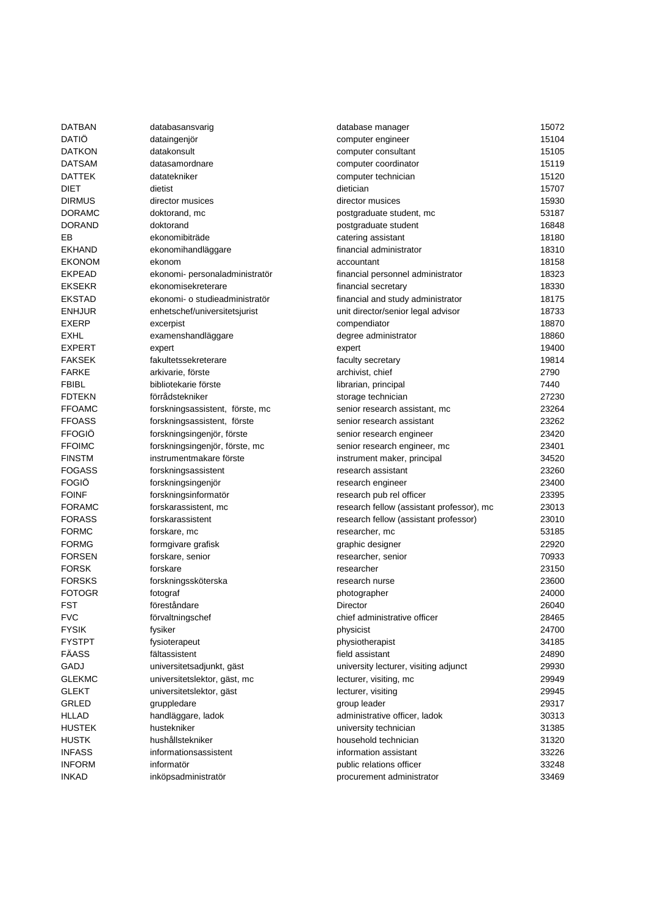| DATBAN        | databasansvarig                        | database manager                          | 15072          |
|---------------|----------------------------------------|-------------------------------------------|----------------|
| DATIÖ         | dataingenjör                           | computer engineer                         | 15104          |
| <b>DATKON</b> | datakonsult                            | computer consultant                       | 15105          |
| <b>DATSAM</b> | datasamordnare                         | computer coordinator                      | 15119          |
| DATTEK        | datatekniker                           | computer technician                       | 15120          |
| DIET          | dietist                                | dietician                                 | 15707          |
| <b>DIRMUS</b> | director musices                       | director musices                          | 15930          |
| <b>DORAMC</b> | doktorand, mc                          | postgraduate student, mc                  | 53187          |
| <b>DORAND</b> | doktorand                              | postgraduate student                      | 16848          |
| EB            | ekonomibiträde                         | catering assistant                        | 18180          |
| <b>EKHAND</b> | ekonomihandläggare                     | financial administrator                   | 18310          |
| <b>EKONOM</b> | ekonom                                 | accountant                                | 18158          |
| <b>EKPEAD</b> | ekonomi- personaladministratör         | financial personnel administrator         | 18323          |
| <b>EKSEKR</b> | ekonomisekreterare                     | financial secretary                       | 18330          |
| <b>EKSTAD</b> | ekonomi- o studieadministratör         | financial and study administrator         | 18175          |
| <b>ENHJUR</b> | enhetschef/universitetsjurist          | unit director/senior legal advisor        | 18733          |
| <b>EXERP</b>  | excerpist                              | compendiator                              | 18870          |
| EXHL          | examenshandläggare                     | degree administrator                      | 18860          |
| <b>EXPERT</b> | expert                                 | expert                                    | 19400          |
| <b>FAKSEK</b> | fakultetssekreterare                   | faculty secretary                         | 19814          |
| <b>FARKE</b>  | arkivarie, förste                      | archivist, chief                          | 2790           |
| <b>FBIBL</b>  | bibliotekarie förste                   | librarian, principal                      | 7440           |
| <b>FDTEKN</b> | förrådstekniker                        | storage technician                        | 27230          |
| <b>FFOAMC</b> | forskningsassistent, förste, mc        | senior research assistant, mc             | 23264          |
| <b>FFOASS</b> | forskningsassistent, förste            | senior research assistant                 | 23262          |
| <b>FFOGIÖ</b> | forskningsingenjör, förste             | senior research engineer                  | 23420          |
| <b>FFOIMC</b> | forskningsingenjör, förste, mc         | senior research engineer, mc              | 23401          |
| <b>FINSTM</b> | instrumentmakare förste                | instrument maker, principal               | 34520          |
| <b>FOGASS</b> | forskningsassistent                    | research assistant                        | 23260          |
| <b>FOGIO</b>  | forskningsingenjör                     | research engineer                         | 23400          |
| <b>FOINF</b>  | forskningsinformatör                   | research pub rel officer                  | 23395          |
| <b>FORAMC</b> | forskarassistent, mc                   | research fellow (assistant professor), mc | 23013          |
| <b>FORASS</b> | forskarassistent                       | research fellow (assistant professor)     | 23010          |
| <b>FORMC</b>  | forskare, mc                           | researcher, mc                            | 53185          |
| <b>FORMG</b>  |                                        | graphic designer                          | 22920          |
| <b>FORSEN</b> | formgivare grafisk<br>forskare, senior | researcher, senior                        | 70933          |
| <b>FORSK</b>  |                                        |                                           |                |
| <b>FORSKS</b> | forskare                               | researcher<br>research nurse              | 23150          |
| <b>FOTOGR</b> | forskningssköterska                    |                                           | 23600<br>24000 |
|               | fotograf                               | photographer                              |                |
| FST           | föreståndare                           | Director                                  | 26040          |
| <b>FVC</b>    | förvaltningschef                       | chief administrative officer              | 28465          |
| FYSIK         | fysiker                                | physicist                                 | 24700          |
| <b>FYSTPT</b> | fysioterapeut                          | physiotherapist                           | 34185          |
| FÄASS         | fältassistent                          | field assistant                           | 24890          |
| GADJ          | universitetsadjunkt, gäst              | university lecturer, visiting adjunct     | 29930          |
| <b>GLEKMC</b> | universitetslektor, gäst, mc           | lecturer, visiting, mc                    | 29949          |
| <b>GLEKT</b>  | universitetslektor, gäst               | lecturer, visiting                        | 29945          |
| GRLED         | gruppledare                            | group leader                              | 29317          |
| <b>HLLAD</b>  | handläggare, ladok                     | administrative officer, ladok             | 30313          |
| <b>HUSTEK</b> | hustekniker                            | university technician                     | 31385          |
| <b>HUSTK</b>  | hushållstekniker                       | household technician                      | 31320          |
| <b>INFASS</b> | informationsassistent                  | information assistant                     | 33226          |
| <b>INFORM</b> | informatör                             | public relations officer                  | 33248          |
| <b>INKAD</b>  | inköpsadministratör                    | procurement administrator                 | 33469          |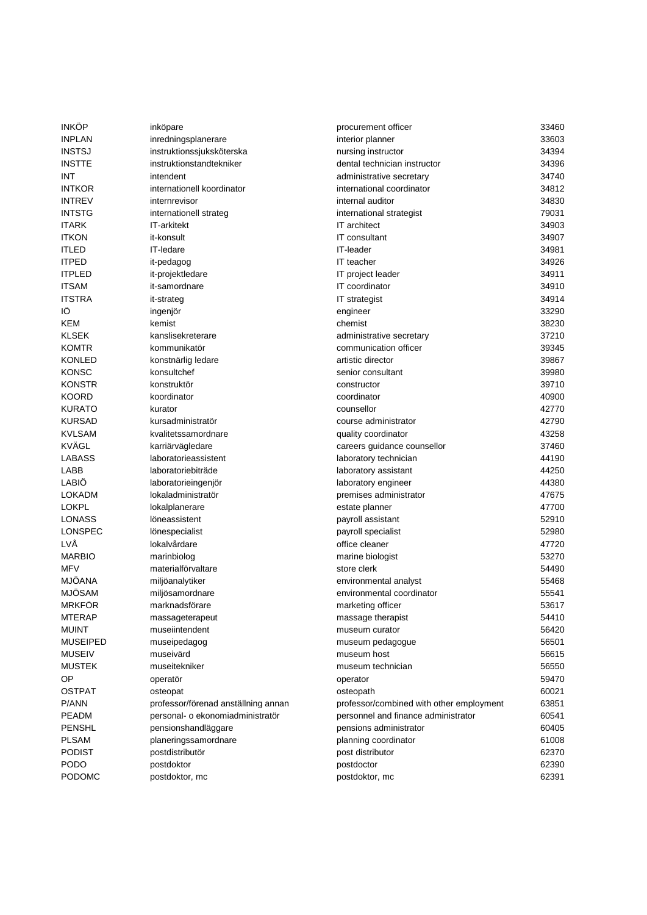| INKOP           | inköpare                            | procurement officer                      | 33460 |
|-----------------|-------------------------------------|------------------------------------------|-------|
| <b>INPLAN</b>   | inredningsplanerare                 | interior planner                         | 33603 |
| <b>INSTSJ</b>   | instruktionssjuksköterska           | nursing instructor                       | 34394 |
| INSTTE          | instruktionstandtekniker            | dental technician instructor             | 34396 |
| INT             | intendent                           | administrative secretary                 | 34740 |
| INTKOR          | internationell koordinator          | international coordinator                | 34812 |
| <b>INTREV</b>   | internrevisor                       | internal auditor                         | 34830 |
| <b>INTSTG</b>   | internationell strateg              | international strategist                 | 79031 |
| <b>ITARK</b>    | IT-arkitekt                         | IT architect                             | 34903 |
| <b>ITKON</b>    | it-konsult                          | IT consultant                            | 34907 |
| ITLED           | IT-ledare                           | IT-leader                                | 34981 |
| <b>ITPED</b>    | it-pedagog                          | IT teacher                               | 34926 |
| <b>ITPLED</b>   | it-projektledare                    | IT project leader                        | 34911 |
| <b>ITSAM</b>    | it-samordnare                       | IT coordinator                           | 34910 |
| <b>ITSTRA</b>   | it-strateg                          | <b>IT</b> strategist                     | 34914 |
| IÖ              | ingenjör                            | engineer                                 | 33290 |
| KEM             | kemist                              | chemist                                  | 38230 |
| KLSEK           | kanslisekreterare                   | administrative secretary                 | 37210 |
| <b>KOMTR</b>    | kommunikatör                        | communication officer                    | 39345 |
| KONLED          | konstnärlig ledare                  | artistic director                        | 39867 |
| KONSC           | konsultchef                         | senior consultant                        | 39980 |
|                 |                                     |                                          |       |
| KONSTR          | konstruktör                         | constructor                              | 39710 |
| <b>KOORD</b>    | koordinator                         | coordinator                              | 40900 |
| <b>KURATO</b>   | kurator                             | counsellor                               | 42770 |
| <b>KURSAD</b>   | kursadministratör                   | course administrator                     | 42790 |
| <b>KVLSAM</b>   | kvalitetssamordnare                 | quality coordinator                      | 43258 |
| KVÄGL           | karriärvägledare                    | careers guidance counsellor              | 37460 |
| LABASS          | laboratorieassistent                | laboratory technician                    | 44190 |
| LABB            | laboratoriebiträde                  | laboratory assistant                     | 44250 |
| LABIO           | laboratorieingenjör                 | laboratory engineer                      | 44380 |
| LOKADM          | lokaladministratör                  | premises administrator                   | 47675 |
| LOKPL           | lokalplanerare                      | estate planner                           | 47700 |
| LONASS          | löneassistent                       | payroll assistant                        | 52910 |
| LONSPEC         | lönespecialist                      | payroll specialist                       | 52980 |
| LVÅ             | lokalvårdare                        | office cleaner                           | 47720 |
| <b>MARBIO</b>   | marinbiolog                         | marine biologist                         | 53270 |
| MFV             | materialförvaltare                  | store clerk                              | 54490 |
| <b>MJÖANA</b>   | miljöanalytiker                     | environmental analyst                    | 55468 |
| <b>MJÖSAM</b>   | miljösamordnare                     | environmental coordinator                | 55541 |
| <b>MRKFÖR</b>   | marknadsförare                      | marketing officer                        | 53617 |
| MTERAP          | massageterapeut                     | massage therapist                        | 54410 |
| muint           | museiintendent                      | museum curator                           | 56420 |
| <b>MUSEIPED</b> | museipedagog                        | museum pedagogue                         | 56501 |
| <b>MUSEIV</b>   | museivärd                           | museum host                              | 56615 |
| MUSTEK          | museitekniker                       | museum technician                        | 56550 |
| ОP              | operatör                            | operator                                 | 59470 |
| <b>OSTPAT</b>   | osteopat                            | osteopath                                | 60021 |
| P/ANN           | professor/förenad anställning annan | professor/combined with other employment | 63851 |
| PEADM           | personal- o ekonomiadministratör    | personnel and finance administrator      | 60541 |
| PENSHL          | pensionshandläggare                 | pensions administrator                   | 60405 |
| <b>PLSAM</b>    | planeringssamordnare                | planning coordinator                     | 61008 |
| <b>PODIST</b>   | postdistributör                     | post distributor                         | 62370 |
| <b>PODO</b>     | postdoktor                          | postdoctor                               | 62390 |
| PODOMC          | postdoktor, mc                      | postdoktor, mc                           | 62391 |
|                 |                                     |                                          |       |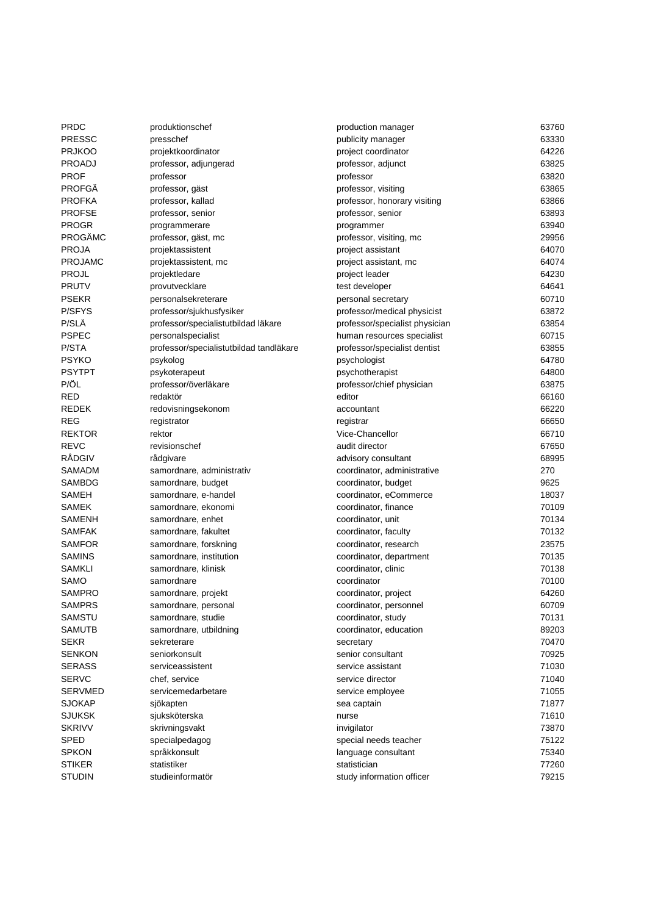| <b>PRDC</b>    | produktionschef                         | production manager             | 63760 |
|----------------|-----------------------------------------|--------------------------------|-------|
| <b>PRESSC</b>  | presschef                               | publicity manager              | 63330 |
| <b>PRJKOO</b>  | projektkoordinator                      | project coordinator            | 64226 |
| PROADJ         | professor, adjungerad                   | professor, adjunct             | 63825 |
| <b>PROF</b>    | professor                               | professor                      | 63820 |
| <b>PROFGÄ</b>  | professor, gäst                         | professor, visiting            | 63865 |
| <b>PROFKA</b>  | professor, kallad                       | professor, honorary visiting   | 63866 |
| <b>PROFSE</b>  | professor, senior                       | professor, senior              | 63893 |
| <b>PROGR</b>   | programmerare                           | programmer                     | 63940 |
| PROGÄMC        | professor, gäst, mc                     | professor, visiting, mc        | 29956 |
| <b>PROJA</b>   | projektassistent                        | project assistant              | 64070 |
| <b>PROJAMC</b> | projektassistent, mc                    | project assistant, mc          | 64074 |
| <b>PROJL</b>   | projektledare                           | project leader                 | 64230 |
| <b>PRUTV</b>   | provutvecklare                          | test developer                 | 64641 |
| <b>PSEKR</b>   | personalsekreterare                     | personal secretary             | 60710 |
| P/SFYS         | professor/sjukhusfysiker                | professor/medical physicist    | 63872 |
| P/SLÄ          | professor/specialistutbildad läkare     | professor/specialist physician | 63854 |
| <b>PSPEC</b>   | personalspecialist                      | human resources specialist     | 60715 |
| P/STA          | professor/specialistutbildad tandläkare | professor/specialist dentist   | 63855 |
| <b>PSYKO</b>   | psykolog                                | psychologist                   | 64780 |
| <b>PSYTPT</b>  | psykoterapeut                           | psychotherapist                | 64800 |
| P/ÖL           | professor/överläkare                    | professor/chief physician      | 63875 |
| <b>RED</b>     | redaktör                                | editor                         | 66160 |
| <b>REDEK</b>   | redovisningsekonom                      | accountant                     | 66220 |
| <b>REG</b>     | registrator                             | registrar                      | 66650 |
| <b>REKTOR</b>  | rektor                                  | Vice-Chancellor                | 66710 |
| <b>REVC</b>    | revisionschef                           | audit director                 | 67650 |
| RÅDGIV         | rådgivare                               | advisory consultant            | 68995 |
| SAMADM         | samordnare, administrativ               | coordinator, administrative    | 270   |
| SAMBDG         | samordnare, budget                      | coordinator, budget            | 9625  |
| SAMEH          | samordnare, e-handel                    | coordinator, eCommerce         | 18037 |
| <b>SAMEK</b>   | samordnare, ekonomi                     | coordinator, finance           | 70109 |
| SAMENH         | samordnare, enhet                       | coordinator, unit              | 70134 |
| <b>SAMFAK</b>  | samordnare, fakultet                    | coordinator, faculty           | 70132 |
| <b>SAMFOR</b>  | samordnare, forskning                   | coordinator, research          | 23575 |
| <b>SAMINS</b>  | samordnare, institution                 | coordinator, department        | 70135 |
| <b>SAMKLI</b>  | samordnare, klinisk                     | coordinator, clinic            | 70138 |
| SAMO           | samordnare                              | coordinator                    | 70100 |
| SAMPRO         | samordnare, projekt                     | coordinator, project           | 64260 |
| <b>SAMPRS</b>  | samordnare, personal                    | coordinator, personnel         | 60709 |
| <b>SAMSTU</b>  | samordnare, studie                      | coordinator, study             | 70131 |
| <b>SAMUTB</b>  | samordnare, utbildning                  | coordinator, education         | 89203 |
| SEKR           | sekreterare                             | secretary                      | 70470 |
| <b>SENKON</b>  | seniorkonsult                           | senior consultant              | 70925 |
| <b>SERASS</b>  | serviceassistent                        | service assistant              | 71030 |
| <b>SERVC</b>   | chef, service                           | service director               | 71040 |
| <b>SERVMED</b> | servicemedarbetare                      | service employee               | 71055 |
| <b>SJOKAP</b>  | sjökapten                               | sea captain                    | 71877 |
| <b>SJUKSK</b>  | sjuksköterska                           | nurse                          | 71610 |
| <b>SKRIVV</b>  | skrivningsvakt                          | invigilator                    | 73870 |
| <b>SPED</b>    | specialpedagog                          | special needs teacher          | 75122 |
| SPKON          | språkkonsult                            | language consultant            | 75340 |
| <b>STIKER</b>  | statistiker                             | statistician                   | 77260 |
| <b>STUDIN</b>  | studieinformatör                        | study information officer      | 79215 |
|                |                                         |                                |       |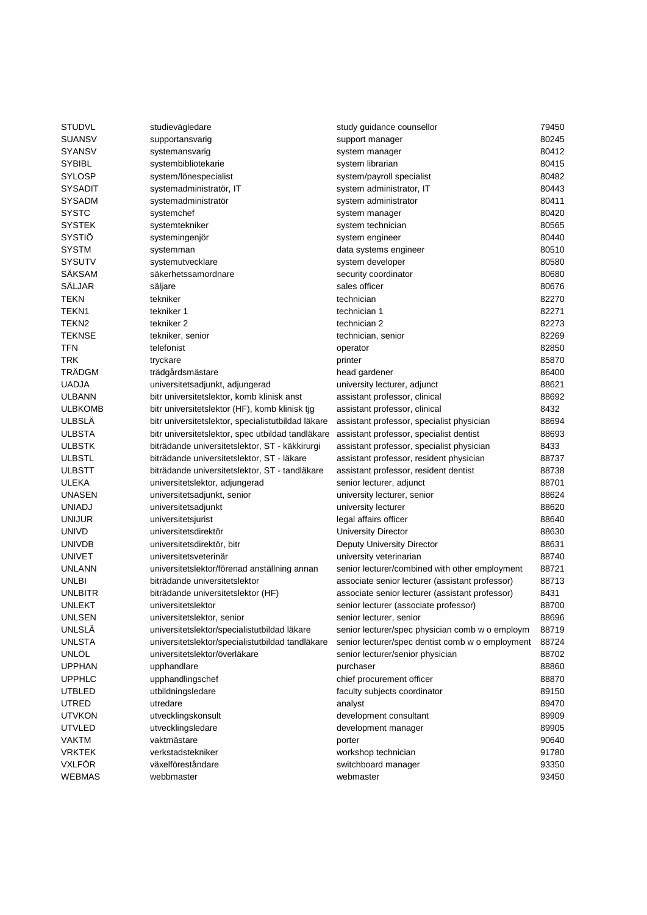| <b>STUDVL</b>                  | studievägledare                                     | study guidance counsellor                        | 79450 |
|--------------------------------|-----------------------------------------------------|--------------------------------------------------|-------|
| <b>SUANSV</b>                  | supportansvarig                                     | support manager                                  | 80245 |
| <b>SYANSV</b>                  | systemansvarig                                      | system manager                                   | 80412 |
| <b>SYBIBL</b>                  | systembibliotekarie                                 | system librarian                                 | 80415 |
| <b>SYLOSP</b>                  | system/lönespecialist                               | system/payroll specialist                        | 80482 |
| <b>SYSADIT</b>                 | systemadministratör, IT                             | system administrator, IT                         | 80443 |
| <b>SYSADM</b>                  | systemadministratör                                 | system administrator                             | 80411 |
| <b>SYSTC</b>                   | systemchef                                          | system manager                                   | 80420 |
| <b>SYSTEK</b>                  | systemtekniker                                      | system technician                                | 80565 |
| SYSTIÖ                         | systemingenjör                                      | system engineer                                  | 80440 |
| <b>SYSTM</b>                   | systemman                                           | data systems engineer                            | 80510 |
| <b>SYSUTV</b>                  | systemutvecklare                                    | system developer                                 | 80580 |
| <b>SÄKSAM</b>                  | säkerhetssamordnare                                 | security coordinator                             | 80680 |
| SÄLJAR                         | säljare                                             | sales officer                                    | 80676 |
| <b>TEKN</b>                    | tekniker                                            | technician                                       | 82270 |
| TEKN1                          | tekniker 1                                          | technician 1                                     | 82271 |
| TEKN2                          | tekniker 2                                          | technician 2                                     | 82273 |
| <b>TEKNSE</b>                  | tekniker, senior                                    | technician, senior                               | 82269 |
| TFN                            | telefonist                                          | operator                                         | 82850 |
| <b>TRK</b>                     | tryckare                                            | printer                                          | 85870 |
| TRÄDGM                         |                                                     |                                                  | 86400 |
| <b>UADJA</b>                   | trädgårdsmästare<br>universitetsadjunkt, adjungerad | head gardener<br>university lecturer, adjunct    | 88621 |
|                                |                                                     |                                                  |       |
| <b>ULBANN</b>                  | bitr universitetslektor, komb klinisk anst          | assistant professor, clinical                    | 88692 |
| <b>ULBKOMB</b>                 | bitr universitetslektor (HF), komb klinisk tjg      | assistant professor, clinical                    | 8432  |
| <b>ULBSLÄ</b><br><b>ULBSTA</b> | bitr universitetslektor, specialistutbildad läkare  | assistant professor, specialist physician        | 88694 |
|                                | bitr universitetslektor, spec utbildad tandläkare   | assistant professor, specialist dentist          | 88693 |
| <b>ULBSTK</b>                  | biträdande universitetslektor, ST - käkkirurgi      | assistant professor, specialist physician        | 8433  |
| <b>ULBSTL</b>                  | biträdande universitetslektor, ST - läkare          | assistant professor, resident physician          | 88737 |
| <b>ULBSTT</b>                  | biträdande universitetslektor, ST - tandläkare      | assistant professor, resident dentist            | 88738 |
| ULEKA                          | universitetslektor, adjungerad                      | senior lecturer, adjunct                         | 88701 |
| <b>UNASEN</b>                  | universitetsadjunkt, senior                         | university lecturer, senior                      | 88624 |
| <b>UNIADJ</b>                  | universitetsadjunkt                                 | university lecturer                              | 88620 |
| <b>UNIJUR</b>                  | universitetsjurist                                  | legal affairs officer                            | 88640 |
| <b>UNIVD</b>                   | universitetsdirektör                                | <b>University Director</b>                       | 88630 |
| <b>UNIVDB</b>                  | universitetsdirektör, bitr                          | Deputy University Director                       | 88631 |
| <b>UNIVET</b>                  | universitetsveterinär                               | university veterinarian                          | 88740 |
| <b>UNLANN</b>                  | universitetslektor/förenad anställning annan        | senior lecturer/combined with other employment   | 88721 |
| <b>UNLBI</b>                   | biträdande universitetslektor                       | associate senior lecturer (assistant professor)  | 88713 |
| <b>UNLBITR</b>                 | biträdande universitetslektor (HF)                  | associate senior lecturer (assistant professor)  | 8431  |
| <b>UNLEKT</b>                  | universitetslektor                                  | senior lecturer (associate professor)            | 88700 |
| <b>UNLSEN</b>                  | universitetslektor, senior                          | senior lecturer, senior                          | 88696 |
| UNLSLÄ                         | universitetslektor/specialistutbildad läkare        | senior lecturer/spec physician comb w o employm  | 88719 |
| <b>UNLSTA</b>                  | universitetslektor/specialistutbildad tandläkare    | senior lecturer/spec dentist comb w o employment | 88724 |
| UNLÖL                          | universitetslektor/överläkare                       | senior lecturer/senior physician                 | 88702 |
| <b>UPPHAN</b>                  | upphandlare                                         | purchaser                                        | 88860 |
| <b>UPPHLC</b>                  | upphandlingschef                                    | chief procurement officer                        | 88870 |
| <b>UTBLED</b>                  | utbildningsledare                                   | faculty subjects coordinator                     | 89150 |
| UTRED                          | utredare                                            | analyst                                          | 89470 |
| <b>UTVKON</b>                  | utvecklingskonsult                                  | development consultant                           | 89909 |
| <b>UTVLED</b>                  | utvecklingsledare                                   | development manager                              | 89905 |
| <b>VAKTM</b>                   | vaktmästare                                         | porter                                           | 90640 |
| <b>VRKTEK</b>                  | verkstadstekniker                                   | workshop technician                              | 91780 |
| <b>VXLFÖR</b>                  | växelföreståndare                                   | switchboard manager                              | 93350 |
| <b>WEBMAS</b>                  | webbmaster                                          | webmaster                                        | 93450 |
|                                |                                                     |                                                  |       |